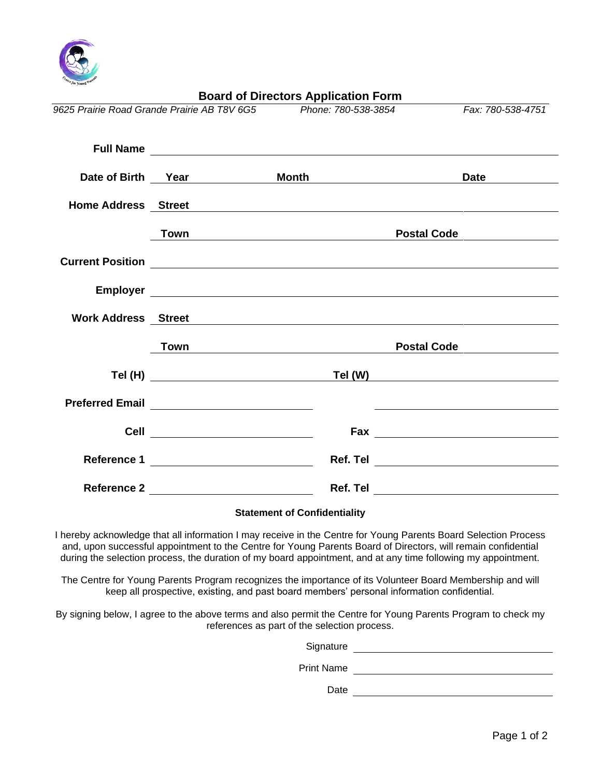

|                                             |                                                | <b>Board of Directors Application Form</b>                                                                                                                                                                                     |                                                                                                                       |
|---------------------------------------------|------------------------------------------------|--------------------------------------------------------------------------------------------------------------------------------------------------------------------------------------------------------------------------------|-----------------------------------------------------------------------------------------------------------------------|
| 9625 Prairie Road Grande Prairie AB T8V 6G5 |                                                | Phone: 780-538-3854                                                                                                                                                                                                            | Fax: 780-538-4751                                                                                                     |
|                                             |                                                |                                                                                                                                                                                                                                |                                                                                                                       |
|                                             |                                                | Date of Birth Year Month                                                                                                                                                                                                       | Date                                                                                                                  |
|                                             |                                                | Home Address Street Service Contract Contract Contract Contract Contract Contract Contract Contract Contract Contract Contract Contract Contract Contract Contract Contract Contract Contract Contract Contract Contract Contr |                                                                                                                       |
|                                             | Town                                           |                                                                                                                                                                                                                                | <b>Postal Code</b>                                                                                                    |
|                                             |                                                |                                                                                                                                                                                                                                |                                                                                                                       |
|                                             |                                                |                                                                                                                                                                                                                                |                                                                                                                       |
|                                             |                                                | Work Address Street Manual Address Street                                                                                                                                                                                      |                                                                                                                       |
|                                             |                                                | Town Postal Code Postal Code                                                                                                                                                                                                   |                                                                                                                       |
|                                             |                                                | Tel (H) Tel (W) Tel (W)                                                                                                                                                                                                        |                                                                                                                       |
|                                             |                                                |                                                                                                                                                                                                                                | <u> 1989 - Johann Stein, mars and de Britain and de Britain and de Britain and de Britain and de Britain and de B</u> |
|                                             | Cell _______________________________           |                                                                                                                                                                                                                                |                                                                                                                       |
|                                             | Reference 1 __________________________________ |                                                                                                                                                                                                                                |                                                                                                                       |
|                                             | Reference 2 __________________________________ |                                                                                                                                                                                                                                |                                                                                                                       |
|                                             |                                                | <b>Statement of Confidentiality</b>                                                                                                                                                                                            |                                                                                                                       |

I hereby acknowledge that all information I may receive in the Centre for Young Parents Board Selection Process and, upon successful appointment to the Centre for Young Parents Board of Directors, will remain confidential during the selection process, the duration of my board appointment, and at any time following my appointment.

The Centre for Young Parents Program recognizes the importance of its Volunteer Board Membership and will keep all prospective, existing, and past board members' personal information confidential.

By signing below, I agree to the above terms and also permit the Centre for Young Parents Program to check my references as part of the selection process.

| Signature         |  |
|-------------------|--|
| <b>Print Name</b> |  |
| Date              |  |